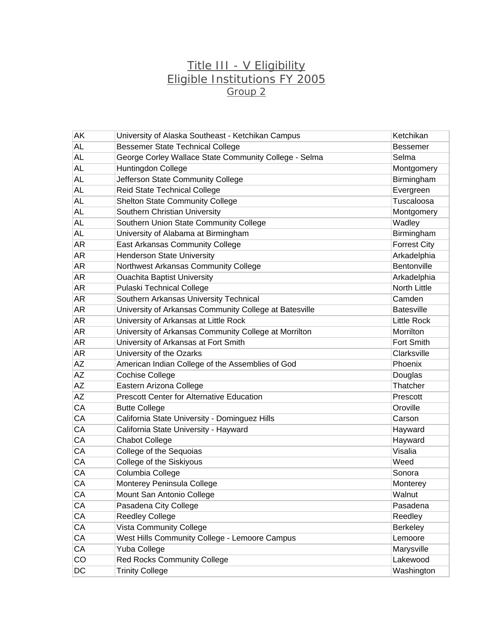## Title III - V Eligibility Eligible Institutions FY 2005 Group 2

| AK        | University of Alaska Southeast - Ketchikan Campus      | Ketchikan           |
|-----------|--------------------------------------------------------|---------------------|
| <b>AL</b> | <b>Bessemer State Technical College</b>                | <b>Bessemer</b>     |
| <b>AL</b> | George Corley Wallace State Community College - Selma  | Selma               |
| <b>AL</b> | Huntingdon College                                     | Montgomery          |
| <b>AL</b> | Jefferson State Community College                      | Birmingham          |
| <b>AL</b> | Reid State Technical College                           | Evergreen           |
| <b>AL</b> | <b>Shelton State Community College</b>                 | Tuscaloosa          |
| AL        | Southern Christian University                          | Montgomery          |
| AL        | Southern Union State Community College                 | Wadley              |
| <b>AL</b> | University of Alabama at Birmingham                    | Birmingham          |
| <b>AR</b> | <b>East Arkansas Community College</b>                 | <b>Forrest City</b> |
| <b>AR</b> | <b>Henderson State University</b>                      | Arkadelphia         |
| AR        | Northwest Arkansas Community College                   | Bentonville         |
| <b>AR</b> | <b>Ouachita Baptist University</b>                     | Arkadelphia         |
| <b>AR</b> | <b>Pulaski Technical College</b>                       | <b>North Little</b> |
| <b>AR</b> | Southern Arkansas University Technical                 | Camden              |
| AR        | University of Arkansas Community College at Batesville | <b>Batesville</b>   |
| <b>AR</b> | University of Arkansas at Little Rock                  | <b>Little Rock</b>  |
| <b>AR</b> | University of Arkansas Community College at Morrilton  | Morrilton           |
| <b>AR</b> | University of Arkansas at Fort Smith                   | Fort Smith          |
| AR        | University of the Ozarks                               | Clarksville         |
| <b>AZ</b> | American Indian College of the Assemblies of God       | Phoenix             |
| <b>AZ</b> | <b>Cochise College</b>                                 | Douglas             |
| AZ        | Eastern Arizona College                                | Thatcher            |
| AZ        | <b>Prescott Center for Alternative Education</b>       | Prescott            |
| CA        | <b>Butte College</b>                                   | Oroville            |
| CA        | California State University - Dominguez Hills          | Carson              |
| CA        | California State University - Hayward                  | Hayward             |
| CA        | <b>Chabot College</b>                                  | Hayward             |
| CA        | College of the Sequoias                                | Visalia             |
| CA        | College of the Siskiyous                               | Weed                |
| CA        | Columbia College                                       | Sonora              |
| CA        | Monterey Peninsula College                             | Monterey            |
| CA        | Mount San Antonio College                              | Walnut              |
| CA        | Pasadena City College                                  | Pasadena            |
| CA        | <b>Reedley College</b>                                 | Reedley             |
| CA        | <b>Vista Community College</b>                         | <b>Berkeley</b>     |
| CA        | West Hills Community College - Lemoore Campus          | Lemoore             |
| CA        | Yuba College                                           | Marysville          |
| CO        | Red Rocks Community College                            | Lakewood            |
| DC        | <b>Trinity College</b>                                 | Washington          |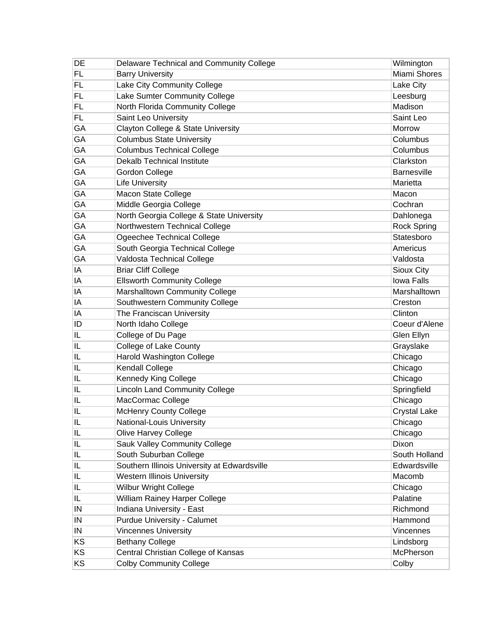| DE | Delaware Technical and Community College     | Wilmington          |
|----|----------------------------------------------|---------------------|
| FL | <b>Barry University</b>                      | Miami Shores        |
| FL | Lake City Community College                  | Lake City           |
| FL | Lake Sumter Community College                | Leesburg            |
| FL | North Florida Community College              | Madison             |
| FL | Saint Leo University                         | Saint Leo           |
| GA | Clayton College & State University           | Morrow              |
| GA | <b>Columbus State University</b>             | Columbus            |
| GA | <b>Columbus Technical College</b>            | Columbus            |
| GA | <b>Dekalb Technical Institute</b>            | Clarkston           |
| GA | <b>Gordon College</b>                        | <b>Barnesville</b>  |
| GA | <b>Life University</b>                       | Marietta            |
| GA | Macon State College                          | Macon               |
| GA | Middle Georgia College                       | Cochran             |
| GA | North Georgia College & State University     | Dahlonega           |
| GA | Northwestern Technical College               | <b>Rock Spring</b>  |
| GA | Ogeechee Technical College                   | Statesboro          |
| GA | South Georgia Technical College              | Americus            |
| GA | Valdosta Technical College                   | Valdosta            |
| IA | <b>Briar Cliff College</b>                   | Sioux City          |
| IA | <b>Ellsworth Community College</b>           | <b>Iowa Falls</b>   |
| ΙA | Marshalltown Community College               | Marshalltown        |
| ΙA | Southwestern Community College               | Creston             |
| ΙA | The Franciscan University                    | Clinton             |
| ID | North Idaho College                          | Coeur d'Alene       |
| IL | College of Du Page                           | Glen Ellyn          |
| IL | College of Lake County                       | Grayslake           |
| IL | Harold Washington College                    | Chicago             |
| IL | <b>Kendall College</b>                       | Chicago             |
| IL | <b>Kennedy King College</b>                  | Chicago             |
| IL | <b>Lincoln Land Community College</b>        | Springfield         |
| IL | MacCormac College                            | Chicago             |
| IL | <b>McHenry County College</b>                | <b>Crystal Lake</b> |
| IL | National-Louis University                    | Chicago             |
| IL | Olive Harvey College                         | Chicago             |
| IL | Sauk Valley Community College                | Dixon               |
| IL | South Suburban College                       | South Holland       |
| IL | Southern Illinois University at Edwardsville | Edwardsville        |
| IL | <b>Western Illinois University</b>           | Macomb              |
| IL | <b>Wilbur Wright College</b>                 | Chicago             |
| IL | William Rainey Harper College                | Palatine            |
| IN | Indiana University - East                    | Richmond            |
| IN | <b>Purdue University - Calumet</b>           | Hammond             |
| IN | <b>Vincennes University</b>                  | Vincennes           |
| KS | <b>Bethany College</b>                       | Lindsborg           |
| KS | Central Christian College of Kansas          | McPherson           |
| KS | <b>Colby Community College</b>               | Colby               |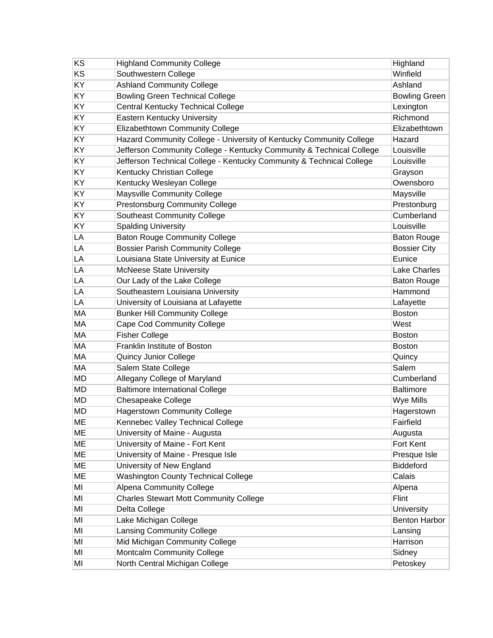| KS        | <b>Highland Community College</b>                                    | Highland             |
|-----------|----------------------------------------------------------------------|----------------------|
| KS        | Southwestern College                                                 | Winfield             |
| KY        | <b>Ashland Community College</b>                                     | Ashland              |
| KY        | <b>Bowling Green Technical College</b>                               | <b>Bowling Green</b> |
| KY        | <b>Central Kentucky Technical College</b>                            | Lexington            |
| <b>KY</b> | <b>Eastern Kentucky University</b>                                   | Richmond             |
| KY        | Elizabethtown Community College                                      | Elizabethtown        |
| KY        | Hazard Community College - University of Kentucky Community College  | Hazard               |
| KY        | Jefferson Community College - Kentucky Community & Technical College | Louisville           |
| KY        | Jefferson Technical College - Kentucky Community & Technical College | Louisville           |
| KY        | Kentucky Christian College                                           | Grayson              |
| KY        | Kentucky Wesleyan College                                            | Owensboro            |
| KY        | Maysville Community College                                          | Maysville            |
| KY        | <b>Prestonsburg Community College</b>                                | Prestonburg          |
| KY        | <b>Southeast Community College</b>                                   | Cumberland           |
| KY        | <b>Spalding University</b>                                           | Louisville           |
| LA        | <b>Baton Rouge Community College</b>                                 | <b>Baton Rouge</b>   |
| LA        | <b>Bossier Parish Community College</b>                              | <b>Bossier City</b>  |
| LA        | Louisiana State University at Eunice                                 | Eunice               |
| LA        | <b>McNeese State University</b>                                      | <b>Lake Charles</b>  |
| LA        | Our Lady of the Lake College                                         | <b>Baton Rouge</b>   |
| LA        | Southeastern Louisiana University                                    | Hammond              |
| LA        | University of Louisiana at Lafayette                                 | Lafayette            |
| MA        | <b>Bunker Hill Community College</b>                                 | <b>Boston</b>        |
| MA        | <b>Cape Cod Community College</b>                                    | West                 |
| MA        | <b>Fisher College</b>                                                | <b>Boston</b>        |
| MA        | Franklin Institute of Boston                                         | <b>Boston</b>        |
| MA        | <b>Quincy Junior College</b>                                         | Quincy               |
| MA        | Salem State College                                                  | Salem                |
| <b>MD</b> | Allegany College of Maryland                                         | Cumberland           |
| <b>MD</b> | <b>Baltimore International College</b>                               | <b>Baltimore</b>     |
| <b>MD</b> | <b>Chesapeake College</b>                                            | Wye Mills            |
| <b>MD</b> | <b>Hagerstown Community College</b>                                  | Hagerstown           |
| ME        | Kennebec Valley Technical College                                    | Fairfield            |
| <b>ME</b> | University of Maine - Augusta                                        | Augusta              |
| ME        | University of Maine - Fort Kent                                      | Fort Kent            |
| ME        | University of Maine - Presque Isle                                   | Presque Isle         |
| ME        | University of New England                                            | Biddeford            |
| <b>ME</b> | <b>Washington County Technical College</b>                           | Calais               |
| MI        | <b>Alpena Community College</b>                                      | Alpena               |
| MI        | <b>Charles Stewart Mott Community College</b>                        | Flint                |
| MI        | Delta College                                                        | University           |
| MI        | Lake Michigan College                                                | <b>Benton Harbor</b> |
| MI        | <b>Lansing Community College</b>                                     | Lansing              |
| MI        | Mid Michigan Community College                                       | Harrison             |
| MI        | Montcalm Community College                                           | Sidney               |
| MI        | North Central Michigan College                                       | Petoskey             |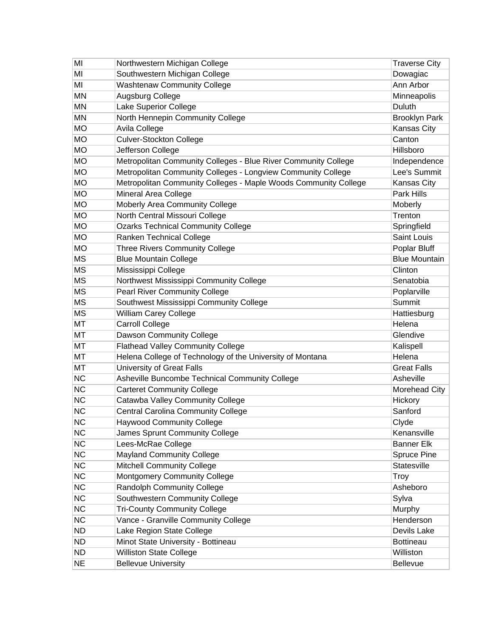| MI        | Northwestern Michigan College                                   | <b>Traverse City</b> |
|-----------|-----------------------------------------------------------------|----------------------|
| ΜI        | Southwestern Michigan College                                   | Dowagiac             |
| MI        | <b>Washtenaw Community College</b>                              | Ann Arbor            |
| <b>MN</b> | Augsburg College                                                | Minneapolis          |
| <b>MN</b> | Lake Superior College                                           | Duluth               |
| MN        | North Hennepin Community College                                | <b>Brooklyn Park</b> |
| <b>MO</b> | Avila College                                                   | <b>Kansas City</b>   |
| <b>MO</b> | <b>Culver-Stockton College</b>                                  | Canton               |
| <b>MO</b> | Jefferson College                                               | Hillsboro            |
| <b>MO</b> | Metropolitan Community Colleges - Blue River Community College  | Independence         |
| <b>MO</b> | Metropolitan Community Colleges - Longview Community College    | Lee's Summit         |
| <b>MO</b> | Metropolitan Community Colleges - Maple Woods Community College | Kansas City          |
| <b>MO</b> | Mineral Area College                                            | Park Hills           |
| <b>MO</b> | Moberly Area Community College                                  | Moberly              |
| <b>MO</b> | North Central Missouri College                                  | Trenton              |
| <b>MO</b> | <b>Ozarks Technical Community College</b>                       | Springfield          |
| <b>MO</b> | Ranken Technical College                                        | Saint Louis          |
| <b>MO</b> | <b>Three Rivers Community College</b>                           | Poplar Bluff         |
| <b>MS</b> | <b>Blue Mountain College</b>                                    | <b>Blue Mountain</b> |
| <b>MS</b> | Mississippi College                                             | Clinton              |
| <b>MS</b> | Northwest Mississippi Community College                         | Senatobia            |
| <b>MS</b> | <b>Pearl River Community College</b>                            | Poplarville          |
| <b>MS</b> | Southwest Mississippi Community College                         | Summit               |
| <b>MS</b> | William Carey College                                           | Hattiesburg          |
| <b>MT</b> | <b>Carroll College</b>                                          | Helena               |
| MT        | Dawson Community College                                        | Glendive             |
| MT        | <b>Flathead Valley Community College</b>                        | Kalispell            |
| MT        | Helena College of Technology of the University of Montana       | Helena               |
| MT        | University of Great Falls                                       | <b>Great Falls</b>   |
| <b>NC</b> | Asheville Buncombe Technical Community College                  | Asheville            |
| <b>NC</b> | <b>Carteret Community College</b>                               | Morehead City        |
| <b>NC</b> | Catawba Valley Community College                                | Hickory              |
| <b>NC</b> | <b>Central Carolina Community College</b>                       | Sanford              |
| NС        | <b>Haywood Community College</b>                                | Clyde                |
| <b>NC</b> | James Sprunt Community College                                  | Kenansville          |
| <b>NC</b> | Lees-McRae College                                              | <b>Banner Elk</b>    |
| <b>NC</b> | <b>Mayland Community College</b>                                | <b>Spruce Pine</b>   |
| <b>NC</b> | <b>Mitchell Community College</b>                               | Statesville          |
| <b>NC</b> | <b>Montgomery Community College</b>                             | Troy                 |
| <b>NC</b> | Randolph Community College                                      | Asheboro             |
| <b>NC</b> | Southwestern Community College                                  | Sylva                |
| <b>NC</b> | <b>Tri-County Community College</b>                             | Murphy               |
| <b>NC</b> | Vance - Granville Community College                             | Henderson            |
| <b>ND</b> | Lake Region State College                                       | Devils Lake          |
| <b>ND</b> | Minot State University - Bottineau                              | <b>Bottineau</b>     |
| <b>ND</b> | <b>Williston State College</b>                                  | Williston            |
| <b>NE</b> | <b>Bellevue University</b>                                      | Bellevue             |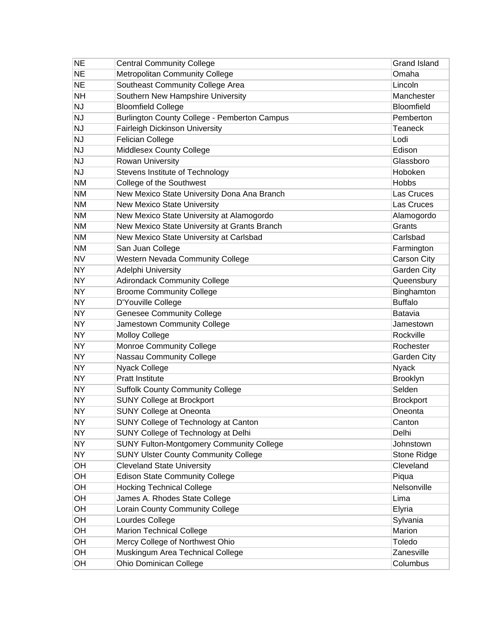| <b>NE</b> | <b>Central Community College</b>                | <b>Grand Island</b> |
|-----------|-------------------------------------------------|---------------------|
| <b>NE</b> | <b>Metropolitan Community College</b>           | Omaha               |
| <b>NE</b> | Southeast Community College Area                | Lincoln             |
| <b>NH</b> | Southern New Hampshire University               | Manchester          |
| <b>NJ</b> | <b>Bloomfield College</b>                       | Bloomfield          |
| <b>NJ</b> | Burlington County College - Pemberton Campus    | Pemberton           |
| <b>NJ</b> | <b>Fairleigh Dickinson University</b>           | <b>Teaneck</b>      |
| <b>NJ</b> | Felician College                                | Lodi                |
| <b>NJ</b> | Middlesex County College                        | Edison              |
| <b>NJ</b> | Rowan University                                | Glassboro           |
| <b>NJ</b> | Stevens Institute of Technology                 | Hoboken             |
| <b>NM</b> | College of the Southwest                        | <b>Hobbs</b>        |
| NM        | New Mexico State University Dona Ana Branch     | Las Cruces          |
| NM        | New Mexico State University                     | Las Cruces          |
| <b>NM</b> | New Mexico State University at Alamogordo       | Alamogordo          |
| NM        | New Mexico State University at Grants Branch    | Grants              |
| ΝM        | New Mexico State University at Carlsbad         | Carlsbad            |
| ΝM        | San Juan College                                | Farmington          |
| <b>NV</b> | <b>Western Nevada Community College</b>         | Carson City         |
| <b>NY</b> | Adelphi University                              | Garden City         |
| <b>NY</b> | <b>Adirondack Community College</b>             | Queensbury          |
| NΥ        | <b>Broome Community College</b>                 | Binghamton          |
| <b>NY</b> | D'Youville College                              | <b>Buffalo</b>      |
| <b>NY</b> | <b>Genesee Community College</b>                | Batavia             |
| <b>NY</b> | Jamestown Community College                     | Jamestown           |
| NΥ        | <b>Molloy College</b>                           | Rockville           |
| <b>NY</b> | <b>Monroe Community College</b>                 | Rochester           |
| <b>NY</b> | Nassau Community College                        | <b>Garden City</b>  |
| <b>NY</b> | Nyack College                                   | <b>Nyack</b>        |
| NΥ        | <b>Pratt Institute</b>                          | Brooklyn            |
| <b>NY</b> | <b>Suffolk County Community College</b>         | Selden              |
| NΥ        | <b>SUNY College at Brockport</b>                | <b>Brockport</b>    |
| NΥ        | <b>SUNY College at Oneonta</b>                  | Oneonta             |
| <b>NY</b> | SUNY College of Technology at Canton            | Canton              |
| <b>NY</b> | SUNY College of Technology at Delhi             | Delhi               |
| <b>NY</b> | <b>SUNY Fulton-Montgomery Community College</b> | Johnstown           |
| <b>NY</b> | <b>SUNY Ulster County Community College</b>     | Stone Ridge         |
| OH        | <b>Cleveland State University</b>               | Cleveland           |
| OH        | <b>Edison State Community College</b>           | Piqua               |
| OH        | <b>Hocking Technical College</b>                | Nelsonville         |
| OH        | James A. Rhodes State College                   | Lima                |
| OH        | Lorain County Community College                 | Elyria              |
| OH        | Lourdes College                                 | Sylvania            |
| OH        | <b>Marion Technical College</b>                 | Marion              |
| OH        | Mercy College of Northwest Ohio                 | Toledo              |
| OH        | Muskingum Area Technical College                | Zanesville          |
| OH        | Ohio Dominican College                          | Columbus            |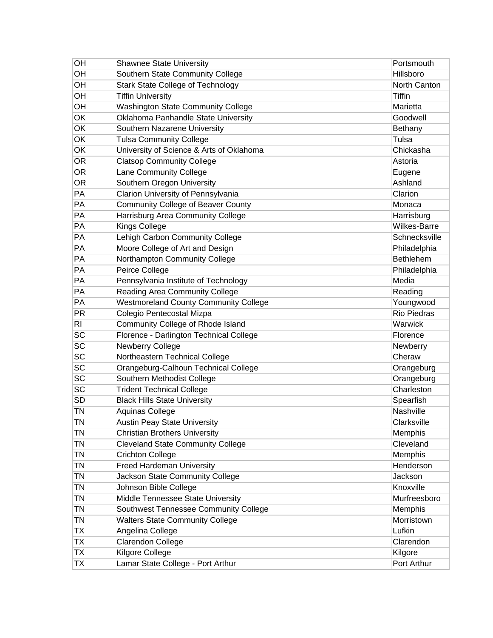| OH        | <b>Shawnee State University</b>              | Portsmouth          |
|-----------|----------------------------------------------|---------------------|
| OH        | Southern State Community College             | Hillsboro           |
| OH        | <b>Stark State College of Technology</b>     | North Canton        |
| OH        | <b>Tiffin University</b>                     | <b>Tiffin</b>       |
| OH        | <b>Washington State Community College</b>    | Marietta            |
| OK        | Oklahoma Panhandle State University          | Goodwell            |
| OK        | Southern Nazarene University                 | Bethany             |
| OK        | <b>Tulsa Community College</b>               | Tulsa               |
| OK        | University of Science & Arts of Oklahoma     | Chickasha           |
| <b>OR</b> | <b>Clatsop Community College</b>             | Astoria             |
| <b>OR</b> | Lane Community College                       | Eugene              |
| <b>OR</b> | Southern Oregon University                   | Ashland             |
| PA        | Clarion University of Pennsylvania           | Clarion             |
| PA        | <b>Community College of Beaver County</b>    | Monaca              |
| PA        | Harrisburg Area Community College            | Harrisburg          |
| PA        | <b>Kings College</b>                         | <b>Wilkes-Barre</b> |
| PA        | Lehigh Carbon Community College              | Schnecksville       |
| PA        | Moore College of Art and Design              | Philadelphia        |
| PA        | Northampton Community College                | <b>Bethlehem</b>    |
| PA        | Peirce College                               | Philadelphia        |
| PA        | Pennsylvania Institute of Technology         | Media               |
| PA        | Reading Area Community College               | Reading             |
| PA        | <b>Westmoreland County Community College</b> | Youngwood           |
| <b>PR</b> | Colegio Pentecostal Mizpa                    | <b>Rio Piedras</b>  |
| <b>RI</b> | Community College of Rhode Island            | Warwick             |
| <b>SC</b> | Florence - Darlington Technical College      | Florence            |
| <b>SC</b> | <b>Newberry College</b>                      | Newberry            |
| SC        | Northeastern Technical College               | Cheraw              |
| SC        | Orangeburg-Calhoun Technical College         | Orangeburg          |
| SC        | Southern Methodist College                   | Orangeburg          |
| <b>SC</b> | <b>Trident Technical College</b>             | Charleston          |
| <b>SD</b> | <b>Black Hills State University</b>          | Spearfish           |
| TN        | Aquinas College                              | Nashville           |
| ΤN        | <b>Austin Peay State University</b>          | Clarksville         |
| <b>TN</b> | <b>Christian Brothers University</b>         | Memphis             |
| <b>TN</b> | <b>Cleveland State Community College</b>     | Cleveland           |
| TN        | <b>Crichton College</b>                      | Memphis             |
| <b>TN</b> | <b>Freed Hardeman University</b>             | Henderson           |
| TN        | Jackson State Community College              | Jackson             |
| TN        | Johnson Bible College                        | Knoxville           |
| TN        | Middle Tennessee State University            | Murfreesboro        |
| TN        | Southwest Tennessee Community College        | Memphis             |
| <b>TN</b> | <b>Walters State Community College</b>       | Morristown          |
| ТX        | Angelina College                             | Lufkin              |
| ТX        | Clarendon College                            | Clarendon           |
| <b>TX</b> | Kilgore College                              | Kilgore             |
| ТX        | Lamar State College - Port Arthur            | Port Arthur         |